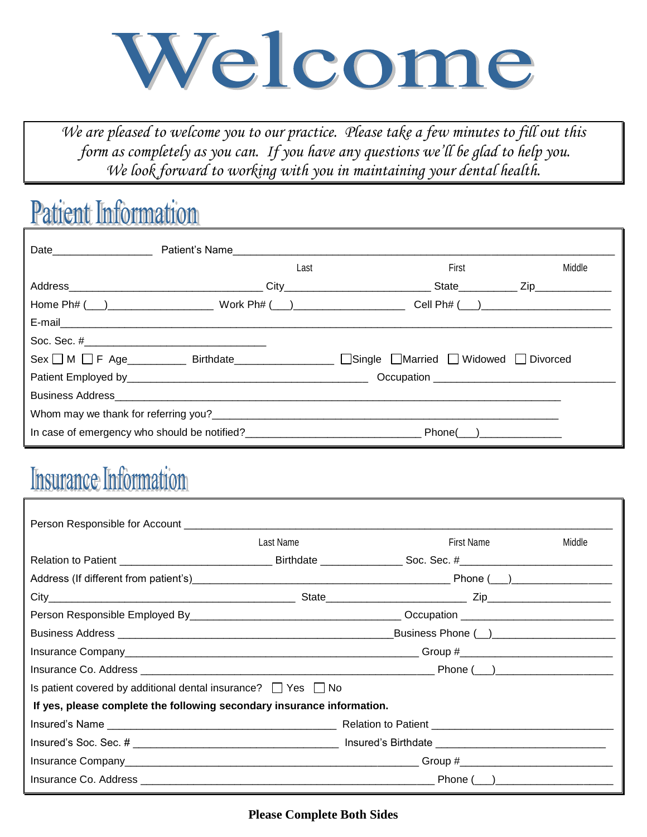

*We are pleased to welcome you to our practice. Please take a few minutes to fill out this form as completely as you can. If you have any questions we'll be glad to help you. We look forward to working with you in maintaining your dental health.*

### **Patient Information**

|                                                                              | Date <b>Date Date </b> Patient's Name                    |                                                                                                                                                                                                                                |        |  |  |
|------------------------------------------------------------------------------|----------------------------------------------------------|--------------------------------------------------------------------------------------------------------------------------------------------------------------------------------------------------------------------------------|--------|--|--|
|                                                                              | Last                                                     | First                                                                                                                                                                                                                          | Middle |  |  |
|                                                                              |                                                          |                                                                                                                                                                                                                                |        |  |  |
|                                                                              |                                                          |                                                                                                                                                                                                                                |        |  |  |
|                                                                              |                                                          |                                                                                                                                                                                                                                |        |  |  |
|                                                                              |                                                          |                                                                                                                                                                                                                                |        |  |  |
|                                                                              |                                                          | Sex   M   F Age _________ Birthdate_______________   Single   Married   Widowed   Divorced                                                                                                                                     |        |  |  |
|                                                                              |                                                          |                                                                                                                                                                                                                                |        |  |  |
|                                                                              |                                                          |                                                                                                                                                                                                                                |        |  |  |
| Whom may we thank for referring you?<br>Whom may we thank for referring you? |                                                          |                                                                                                                                                                                                                                |        |  |  |
|                                                                              | In case of emergency who should be notified?<br><u> </u> | Phone() and the phone of the state of the state of the state of the state of the state of the state of the state of the state of the state of the state of the state of the state of the state of the state of the state of th |        |  |  |

## **Insurance Information**

|                                                                         | Last Name | First Name | Middle |  |  |  |
|-------------------------------------------------------------------------|-----------|------------|--------|--|--|--|
|                                                                         |           |            |        |  |  |  |
|                                                                         |           |            |        |  |  |  |
|                                                                         |           |            |        |  |  |  |
|                                                                         |           |            |        |  |  |  |
|                                                                         |           |            |        |  |  |  |
|                                                                         |           |            |        |  |  |  |
|                                                                         |           |            |        |  |  |  |
| Is patient covered by additional dental insurance? $\Box$ Yes $\Box$ No |           |            |        |  |  |  |
| If yes, please complete the following secondary insurance information.  |           |            |        |  |  |  |
|                                                                         |           |            |        |  |  |  |
|                                                                         |           |            |        |  |  |  |
|                                                                         |           |            |        |  |  |  |
|                                                                         |           |            |        |  |  |  |

**Please Complete Both Sides**